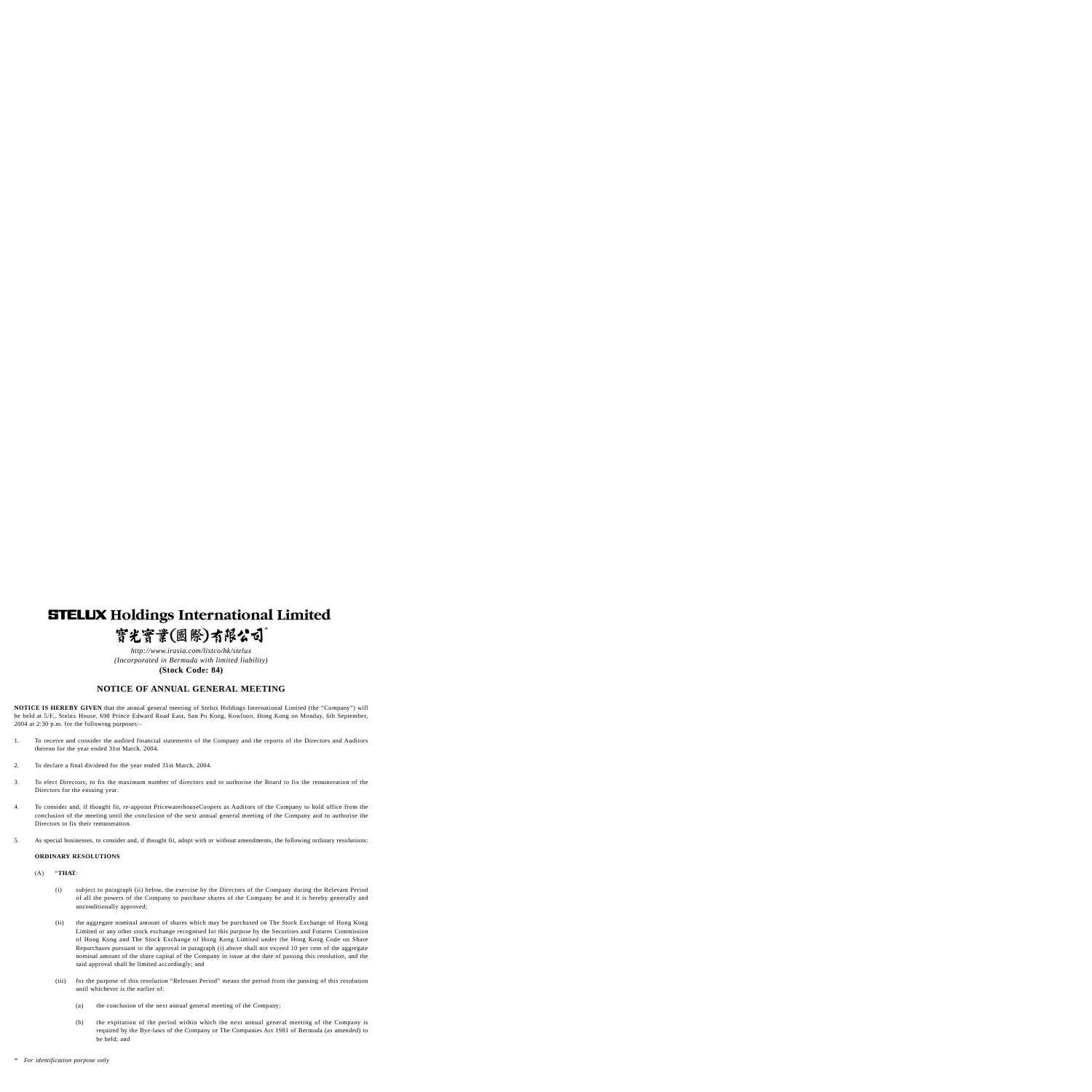# **STELUX Holdings International Limited** 實光實業(國際)有限公司\*

*http://www.irasia.com/listco/hk/stelux (Incorporated in Bermuda with limited liability)* **(Stock Code: 84)**

# **NOTICE OF ANNUAL GENERAL MEETING**

**NOTICE IS HEREBY GIVEN** that the annual general meeting of Stelux Holdings International Limited (the "Company") will be held at 5/F., Stelux House, 698 Prince Edward Road East, San Po Kong, Kowloon, Hong Kong on Monday, 6th September, 2004 at 2:30 p.m. for the following purposes:–

- 1. To receive and consider the audited financial statements of the Company and the reports of the Directors and Auditors thereon for the year ended 31st March, 2004.
- 2. To declare a final dividend for the year ended 31st March, 2004.
- 3. To elect Directors, to fix the maximum number of directors and to authorise the Board to fix the remuneration of the Directors for the ensuing year.
- 4. To consider and, if thought fit, re-appoint PricewaterhouseCoopers as Auditors of the Company to hold office from the conclusion of the meeting until the conclusion of the next annual general meeting of the Company and to authorise the Directors to fix their remuneration.
- 5. As special businesses, to consider and, if thought fit, adopt with or without amendments, the following ordinary resolutions:

#### **ORDINARY RESOLUTIONS**

#### (A) "**THAT**:

- (i) subject to paragraph (ii) below, the exercise by the Directors of the Company during the Relevant Period of all the powers of the Company to purchase shares of the Company be and it is hereby generally and unconditionally approved;
- (ii) the aggregate nominal amount of shares which may be purchased on The Stock Exchange of Hong Kong Limited or any other stock exchange recognised for this purpose by the Securities and Futures Commission of Hong Kong and The Stock Exchange of Hong Kong Limited under the Hong Kong Code on Share Repurchases pursuant to the approval in paragraph (i) above shall not exceed 10 per cent of the aggregate nominal amount of the share capital of the Company in issue at the date of passing this resolution, and the said approval shall be limited accordingly; and
- (iii) for the purpose of this resolution "Relevant Period" means the period from the passing of this resolution until whichever is the earlier of:
	- (a) the conclusion of the next annual general meeting of the Company;
	- (b) the expiration of the period within which the next annual general meeting of the Company is required by the Bye-laws of the Company or The Companies Act 1981 of Bermuda (as amended) to be held; and
- *\* For identification purpose only*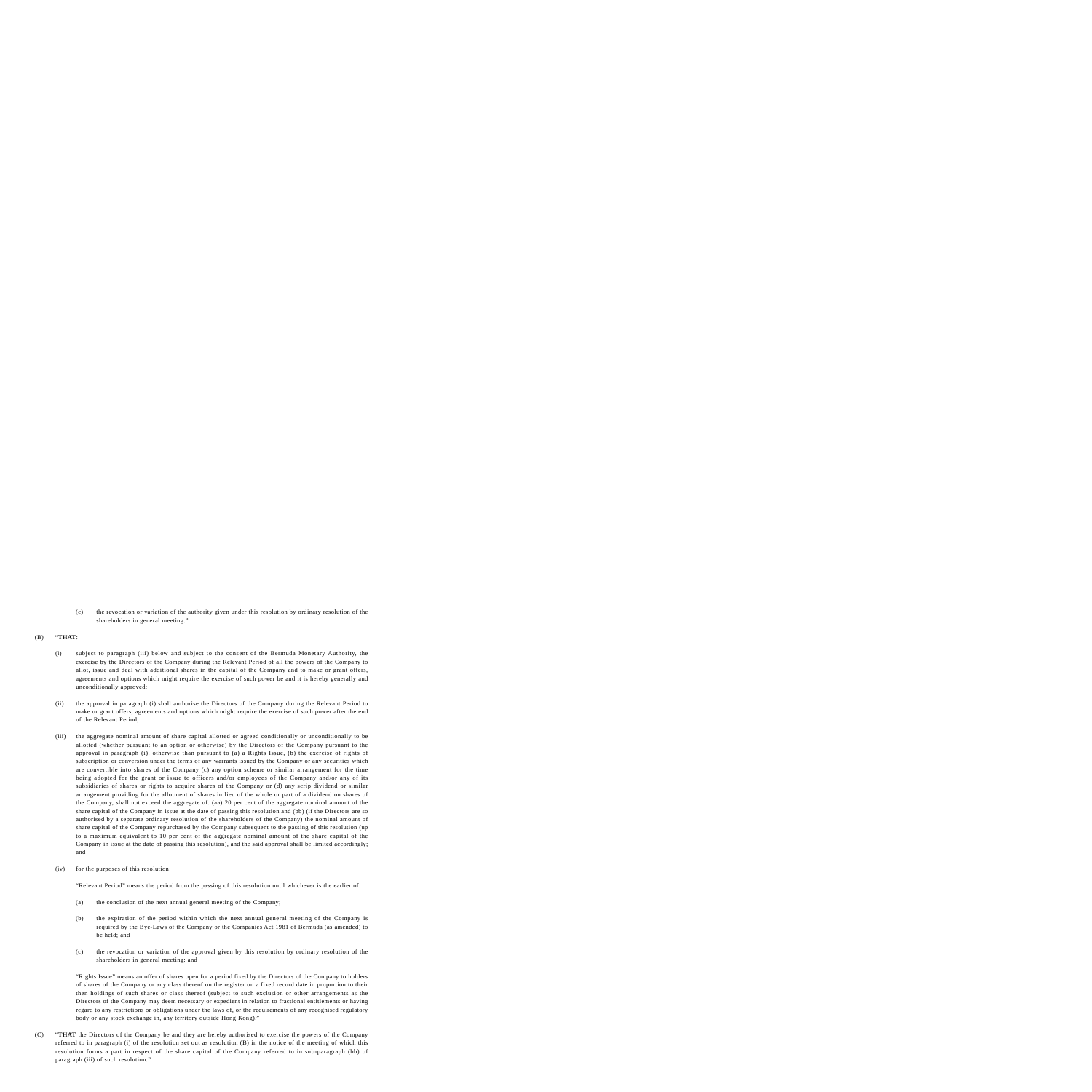(c) the revocation or variation of the authority given under this resolution by ordinary resolution of the shareholders in general meeting."

## (B) "**THAT**:

- (i) subject to paragraph (iii) below and subject to the consent of the Bermuda Monetary Authority, the exercise by the Directors of the Company during the Relevant Period of all the powers of the Company to allot, issue and deal with additional shares in the capital of the Company and to make or grant offers, agreements and options which might require the exercise of such power be and it is hereby generally and unconditionally approved;
- (ii) the approval in paragraph (i) shall authorise the Directors of the Company during the Relevant Period to make or grant offers, agreements and options which might require the exercise of such power after the end of the Relevant Period;
- (iii) the aggregate nominal amount of share capital allotted or agreed conditionally or unconditionally to be allotted (whether pursuant to an option or otherwise) by the Directors of the Company pursuant to the approval in paragraph (i), otherwise than pursuant to (a) a Rights Issue, (b) the exercise of rights of subscription or conversion under the terms of any warrants issued by the Company or any securities which are convertible into shares of the Company (c) any option scheme or similar arrangement for the time being adopted for the grant or issue to officers and/or employees of the Company and/or any of its subsidiaries of shares or rights to acquire shares of the Company or (d) any scrip dividend or similar arrangement providing for the allotment of shares in lieu of the whole or part of a dividend on shares of the Company, shall not exceed the aggregate of: (aa) 20 per cent of the aggregate nominal amount of the share capital of the Company in issue at the date of passing this resolution and (bb) (if the Directors are so authorised by a separate ordinary resolution of the shareholders of the Company) the nominal amount of share capital of the Company repurchased by the Company subsequent to the passing of this resolution (up to a maximum equivalent to 10 per cent of the aggregate nominal amount of the share capital of the Company in issue at the date of passing this resolution), and the said approval shall be limited accordingly; and
- (iv) for the purposes of this resolution:

"Relevant Period" means the period from the passing of this resolution until whichever is the earlier of:

- (a) the conclusion of the next annual general meeting of the Company;
- (b) the expiration of the period within which the next annual general meeting of the Company is required by the Bye-Laws of the Company or the Companies Act 1981 of Bermuda (as amended) to be held; and
- (c) the revocation or variation of the approval given by this resolution by ordinary resolution of the shareholders in general meeting; and

"Rights Issue" means an offer of shares open for a period fixed by the Directors of the Company to holders of shares of the Company or any class thereof on the register on a fixed record date in proportion to their then holdings of such shares or class thereof (subject to such exclusion or other arrangements as the Directors of the Company may deem necessary or expedient in relation to fractional entitlements or having regard to any restrictions or obligations under the laws of, or the requirements of any recognised regulatory body or any stock exchange in, any territory outside Hong Kong)."

(C) "**THAT** the Directors of the Company be and they are hereby authorised to exercise the powers of the Company referred to in paragraph (i) of the resolution set out as resolution (B) in the notice of the meeting of which this resolution forms a part in respect of the share capital of the Company referred to in sub-paragraph (bb) of paragraph (iii) of such resolution."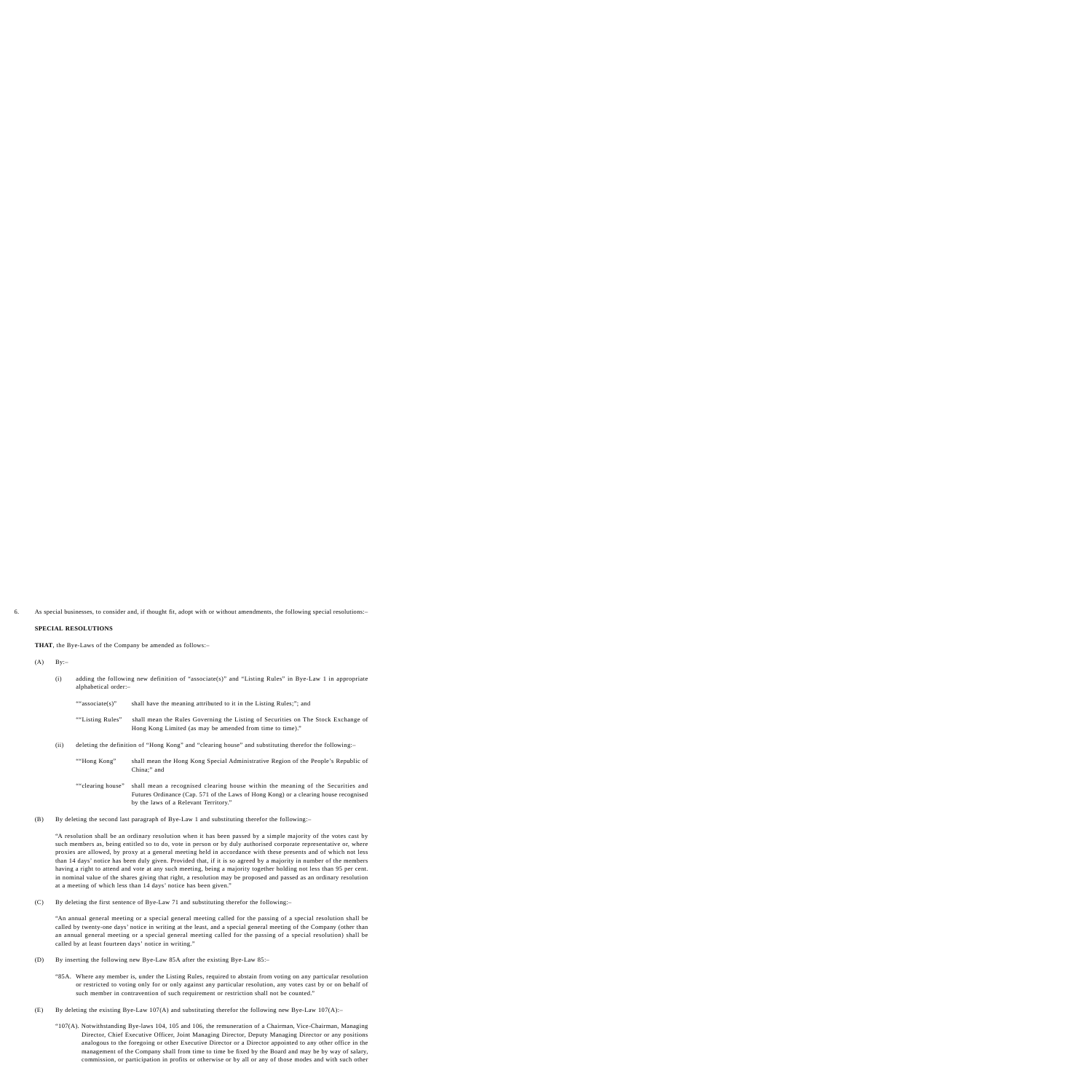6. As special businesses, to consider and, if thought fit, adopt with or without amendments, the following special resolutions:–

## **SPECIAL RESOLUTIONS**

**THAT**, the Bye-Laws of the Company be amended as follows:–

- $(A)$  By:-
	- (i) adding the following new definition of "associate(s)" and "Listing Rules" in Bye-Law 1 in appropriate alphabetical order:–

|      | "associate(s)"                                                                                        | shall have the meaning attributed to it in the Listing Rules;"; and                                                                                                     |
|------|-------------------------------------------------------------------------------------------------------|-------------------------------------------------------------------------------------------------------------------------------------------------------------------------|
|      | ""Listing Rules"                                                                                      | shall mean the Rules Governing the Listing of Securities on The Stock Exchange of<br>Hong Kong Limited (as may be amended from time to time)."                          |
| (ii) | deleting the definition of "Hong Kong" and "clearing house" and substituting therefor the following:- |                                                                                                                                                                         |
|      | "Hong Kong"                                                                                           | shall mean the Hong Kong Special Administrative Region of the People's Republic of<br>China;" and                                                                       |
|      | "clearing house"                                                                                      | shall mean a recognised clearing house within the meaning of the Securities and<br>Futures Ordinance (Cap. 571 of the Laws of Hong Kong) or a clearing house recognised |

(B) By deleting the second last paragraph of Bye-Law 1 and substituting therefor the following:–

by the laws of a Relevant Territory."

"A resolution shall be an ordinary resolution when it has been passed by a simple majority of the votes cast by such members as, being entitled so to do, vote in person or by duly authorised corporate representative or, where proxies are allowed, by proxy at a general meeting held in accordance with these presents and of which not less than 14 days' notice has been duly given. Provided that, if it is so agreed by a majority in number of the members having a right to attend and vote at any such meeting, being a majority together holding not less than 95 per cent. in nominal value of the shares giving that right, a resolution may be proposed and passed as an ordinary resolution at a meeting of which less than 14 days' notice has been given."

(C) By deleting the first sentence of Bye-Law 71 and substituting therefor the following:–

"An annual general meeting or a special general meeting called for the passing of a special resolution shall be called by twenty-one days' notice in writing at the least, and a special general meeting of the Company (other than an annual general meeting or a special general meeting called for the passing of a special resolution) shall be called by at least fourteen days' notice in writing."

- (D) By inserting the following new Bye-Law 85A after the existing Bye-Law 85:–
	- "85A. Where any member is, under the Listing Rules, required to abstain from voting on any particular resolution or restricted to voting only for or only against any particular resolution, any votes cast by or on behalf of such member in contravention of such requirement or restriction shall not be counted."
- (E) By deleting the existing Bye-Law 107(A) and substituting therefor the following new Bye-Law 107(A):-
	- "107(A). Notwithstanding Bye-laws 104, 105 and 106, the remuneration of a Chairman, Vice-Chairman, Managing Director, Chief Executive Officer, Joint Managing Director, Deputy Managing Director or any positions analogous to the foregoing or other Executive Director or a Director appointed to any other office in the management of the Company shall from time to time be fixed by the Board and may be by way of salary, commission, or participation in profits or otherwise or by all or any of those modes and with such other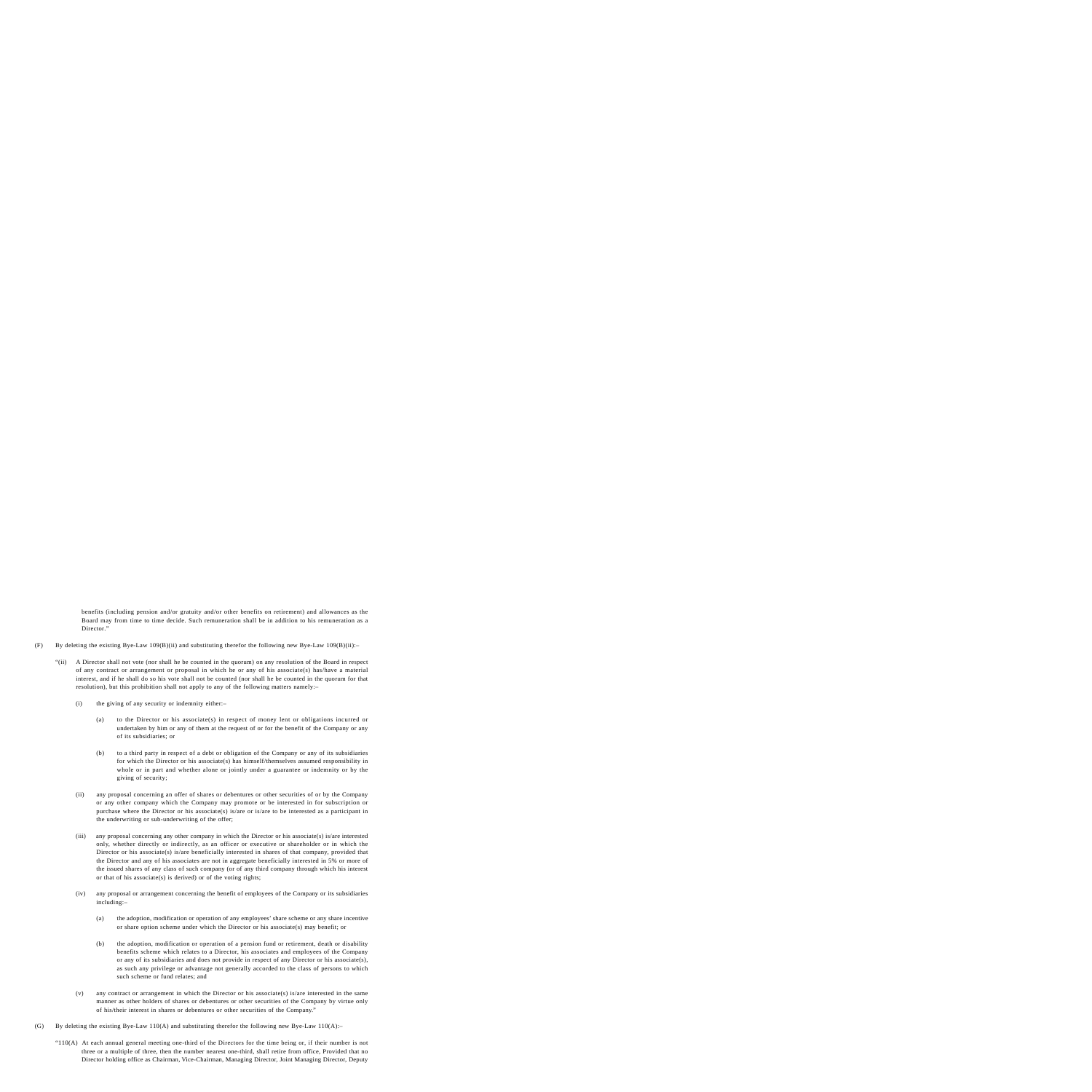benefits (including pension and/or gratuity and/or other benefits on retirement) and allowances as the Board may from time to time decide. Such remuneration shall be in addition to his remuneration as a Director."

- (F) By deleting the existing Bye-Law 109(B)(ii) and substituting therefor the following new Bye-Law 109(B)(ii):-
	- "(ii) A Director shall not vote (nor shall he be counted in the quorum) on any resolution of the Board in respect of any contract or arrangement or proposal in which he or any of his associate(s) has/have a material interest, and if he shall do so his vote shall not be counted (nor shall he be counted in the quorum for that resolution), but this prohibition shall not apply to any of the following matters namely:–
		- (i) the giving of any security or indemnity either:–
			- (a) to the Director or his associate(s) in respect of money lent or obligations incurred or undertaken by him or any of them at the request of or for the benefit of the Company or any of its subsidiaries; or
			- (b) to a third party in respect of a debt or obligation of the Company or any of its subsidiaries for which the Director or his associate(s) has himself/themselves assumed responsibility in whole or in part and whether alone or jointly under a guarantee or indemnity or by the giving of security;
		- (ii) any proposal concerning an offer of shares or debentures or other securities of or by the Company or any other company which the Company may promote or be interested in for subscription or purchase where the Director or his associate(s) is/are or is/are to be interested as a participant in the underwriting or sub-underwriting of the offer;
		- (iii) any proposal concerning any other company in which the Director or his associate(s) is/are interested only, whether directly or indirectly, as an officer or executive or shareholder or in which the Director or his associate(s) is/are beneficially interested in shares of that company, provided that the Director and any of his associates are not in aggregate beneficially interested in 5% or more of the issued shares of any class of such company (or of any third company through which his interest or that of his associate(s) is derived) or of the voting rights;
		- (iv) any proposal or arrangement concerning the benefit of employees of the Company or its subsidiaries including:–
			- (a) the adoption, modification or operation of any employees' share scheme or any share incentive or share option scheme under which the Director or his associate(s) may benefit; or
			- (b) the adoption, modification or operation of a pension fund or retirement, death or disability benefits scheme which relates to a Director, his associates and employees of the Company or any of its subsidiaries and does not provide in respect of any Director or his associate(s), as such any privilege or advantage not generally accorded to the class of persons to which such scheme or fund relates; and
		- (v) any contract or arrangement in which the Director or his associate(s) is/are interested in the same manner as other holders of shares or debentures or other securities of the Company by virtue only of his/their interest in shares or debentures or other securities of the Company."
- (G) By deleting the existing Bye-Law 110(A) and substituting therefor the following new Bye-Law 110(A):–
	- "110(A) At each annual general meeting one-third of the Directors for the time being or, if their number is not three or a multiple of three, then the number nearest one-third, shall retire from office, Provided that no Director holding office as Chairman, Vice-Chairman, Managing Director, Joint Managing Director, Deputy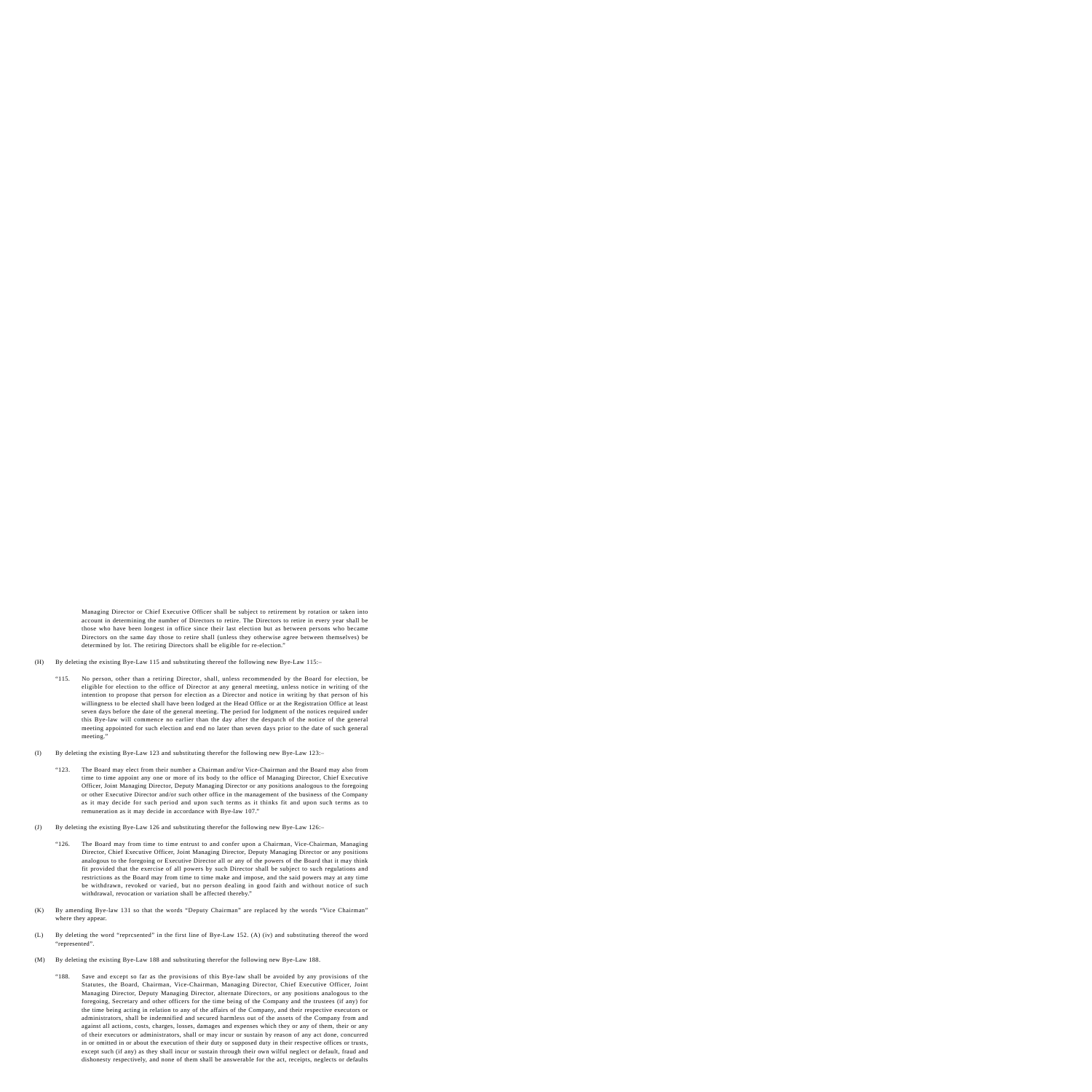Managing Director or Chief Executive Officer shall be subject to retirement by rotation or taken into account in determining the number of Directors to retire. The Directors to retire in every year shall be those who have been longest in office since their last election but as between persons who became Directors on the same day those to retire shall (unless they otherwise agree between themselves) be determined by lot. The retiring Directors shall be eligible for re-election."

- (H) By deleting the existing Bye-Law 115 and substituting thereof the following new Bye-Law 115:–
	- "115. No person, other than a retiring Director, shall, unless recommended by the Board for election, be eligible for election to the office of Director at any general meeting, unless notice in writing of the intention to propose that person for election as a Director and notice in writing by that person of his willingness to be elected shall have been lodged at the Head Office or at the Registration Office at least seven days before the date of the general meeting. The period for lodgment of the notices required under this Bye-law will commence no earlier than the day after the despatch of the notice of the general meeting appointed for such election and end no later than seven days prior to the date of such general meeting."
- (I) By deleting the existing Bye-Law 123 and substituting therefor the following new Bye-Law 123:–
	- "123. The Board may elect from their number a Chairman and/or Vice-Chairman and the Board may also from time to time appoint any one or more of its body to the office of Managing Director, Chief Executive Officer, Joint Managing Director, Deputy Managing Director or any positions analogous to the foregoing or other Executive Director and/or such other office in the management of the business of the Company as it may decide for such period and upon such terms as it thinks fit and upon such terms as to remuneration as it may decide in accordance with Bye-law 107."
- (J) By deleting the existing Bye-Law 126 and substituting therefor the following new Bye-Law 126:–
	- "126. The Board may from time to time entrust to and confer upon a Chairman, Vice-Chairman, Managing Director, Chief Executive Officer, Joint Managing Director, Deputy Managing Director or any positions analogous to the foregoing or Executive Director all or any of the powers of the Board that it may think fit provided that the exercise of all powers by such Director shall be subject to such regulations and restrictions as the Board may from time to time make and impose, and the said powers may at any time be withdrawn, revoked or varied, but no person dealing in good faith and without notice of such withdrawal, revocation or variation shall be affected thereby."
- (K) By amending Bye-law 131 so that the words "Deputy Chairman" are replaced by the words "Vice Chairman" where they appear.
- (L) By deleting the word "reprcsented" in the first line of Bye-Law 152. (A) (iv) and substituting thereof the word "represented".
- (M) By deleting the existing Bye-Law 188 and substituting therefor the following new Bye-Law 188.
	- "188. Save and except so far as the provisions of this Bye-law shall be avoided by any provisions of the Statutes, the Board, Chairman, Vice-Chairman, Managing Director, Chief Executive Officer, Joint Managing Director, Deputy Managing Director, alternate Directors, or any positions analogous to the foregoing, Secretary and other officers for the time being of the Company and the trustees (if any) for the time being acting in relation to any of the affairs of the Company, and their respective executors or administrators, shall be indemnified and secured harmless out of the assets of the Company from and against all actions, costs, charges, losses, damages and expenses which they or any of them, their or any of their executors or administrators, shall or may incur or sustain by reason of any act done, concurred in or omitted in or about the execution of their duty or supposed duty in their respective offices or trusts, except such (if any) as they shall incur or sustain through their own wilful neglect or default, fraud and dishonesty respectively, and none of them shall be answerable for the act, receipts, neglects or defaults